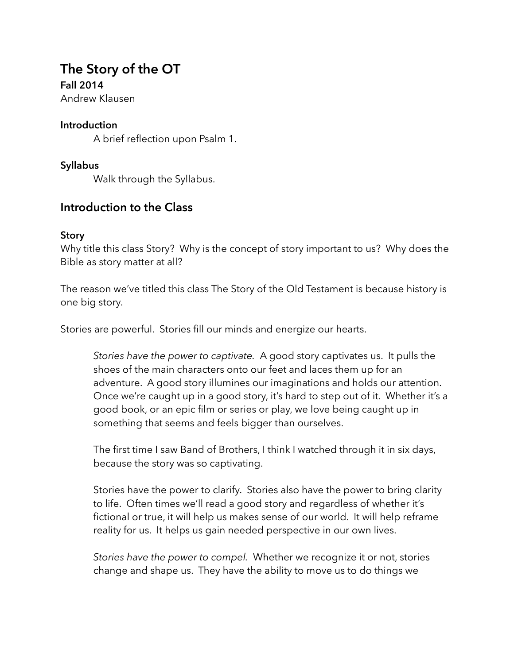# **The Story of the OT Fall 2014**

Andrew Klausen

#### **Introduction**

A brief reflection upon Psalm 1.

#### **Syllabus**

Walk through the Syllabus.

# **Introduction to the Class**

#### **Story**

Why title this class Story? Why is the concept of story important to us? Why does the Bible as story matter at all?

The reason we've titled this class The Story of the Old Testament is because history is one big story.

Stories are powerful. Stories fill our minds and energize our hearts.

*Stories have the power to captivate.* A good story captivates us. It pulls the shoes of the main characters onto our feet and laces them up for an adventure. A good story illumines our imaginations and holds our attention. Once we're caught up in a good story, it's hard to step out of it. Whether it's a good book, or an epic film or series or play, we love being caught up in something that seems and feels bigger than ourselves.

The first time I saw Band of Brothers, I think I watched through it in six days, because the story was so captivating.

Stories have the power to clarify. Stories also have the power to bring clarity to life. Often times we'll read a good story and regardless of whether it's fictional or true, it will help us makes sense of our world. It will help reframe reality for us. It helps us gain needed perspective in our own lives.

*Stories have the power to compel.* Whether we recognize it or not, stories change and shape us. They have the ability to move us to do things we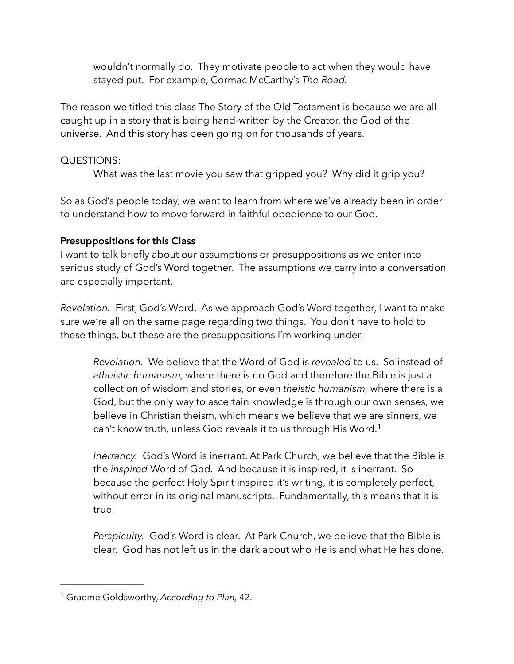wouldn't normally do. They motivate people to act when they would have stayed put. For example, Cormac McCarthy's *The Road.* 

The reason we titled this class The Story of the Old Testament is because we are all caught up in a story that is being hand-written by the Creator, the God of the universe. And this story has been going on for thousands of years.

# QUESTIONS:

What was the last movie you saw that gripped you? Why did it grip you?

So as God's people today, we want to learn from where we've already been in order to understand how to move forward in faithful obedience to our God.

## **Presuppositions for this Class**

I want to talk briefly about our assumptions or presuppositions as we enter into serious study of God's Word together. The assumptions we carry into a conversation are especially important.

*Revelation.* First, God's Word. As we approach God's Word together, I want to make sure we're all on the same page regarding two things. You don't have to hold to these things, but these are the presuppositions I'm working under.

*Revelation.* We believe that the Word of God is *revealed* to us. So instead of *atheistic humanism,* where there is no God and therefore the Bible is just a collection of wisdom and stories, or even *theistic humanism,* where there is a God, but the only way to ascertain knowledge is through our own senses, we believe in Christian theism, which means we believe that we are sinners, we can't know truth, unless God reveals it to us through His Word.<sup>1</sup>

*Inerrancy.* God's Word is inerrant. At Park Church, we believe that the Bible is the *inspired* Word of God. And because it is inspired, it is inerrant. So because the perfect Holy Spirit inspired it's writing, it is completely perfect, without error in its original manuscripts. Fundamentally, this means that it is true.

*Perspicuity.* God's Word is clear. At Park Church, we believe that the Bible is clear. God has not left us in the dark about who He is and what He has done.

<sup>&</sup>lt;sup>1</sup> Graeme Goldsworthy, *According to Plan*, 42.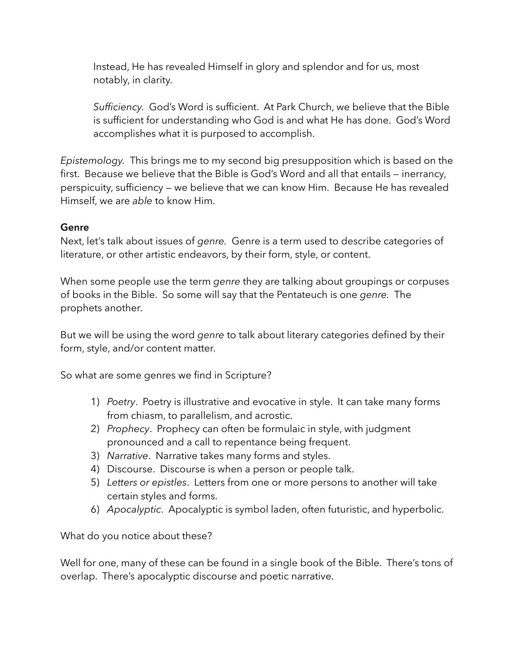Instead, He has revealed Himself in glory and splendor and for us, most notably, in clarity.

*Sufficiency.* God's Word is sufficient. At Park Church, we believe that the Bible is sufficient for understanding who God is and what He has done. God's Word accomplishes what it is purposed to accomplish.

*Epistemology.* This brings me to my second big presupposition which is based on the first. Because we believe that the Bible is God's Word and all that entails — inerrancy, perspicuity, sufficiency — we believe that we can know Him. Because He has revealed Himself, we are *able* to know Him.

## **Genre**

Next, let's talk about issues of *genre.* Genre is a term used to describe categories of literature, or other artistic endeavors, by their form, style, or content.

When some people use the term *genre* they are talking about groupings or corpuses of books in the Bible. So some will say that the Pentateuch is one *genre.* The prophets another.

But we will be using the word *genre* to talk about literary categories defined by their form, style, and/or content matter.

So what are some genres we find in Scripture?

- 1) *Poetry*. Poetry is illustrative and evocative in style. It can take many forms from chiasm, to parallelism, and acrostic.
- 2) *Prophecy*. Prophecy can often be formulaic in style, with judgment pronounced and a call to repentance being frequent.
- 3) *Narrative*. Narrative takes many forms and styles.
- 4) Discourse. Discourse is when a person or people talk.
- 5) *Letters or epistles*. Letters from one or more persons to another will take certain styles and forms.
- 6) *Apocalyptic*. Apocalyptic is symbol laden, often futuristic, and hyperbolic.

What do you notice about these?

Well for one, many of these can be found in a single book of the Bible. There's tons of overlap. There's apocalyptic discourse and poetic narrative.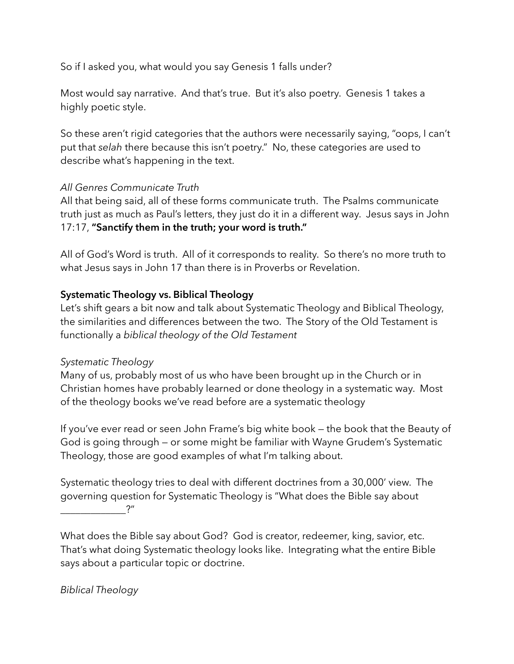So if I asked you, what would you say Genesis 1 falls under?

Most would say narrative. And that's true. But it's also poetry. Genesis 1 takes a highly poetic style.

So these aren't rigid categories that the authors were necessarily saying, "oops, I can't put that *selah* there because this isn't poetry." No, these categories are used to describe what's happening in the text.

# *All Genres Communicate Truth*

All that being said, all of these forms communicate truth. The Psalms communicate truth just as much as Paul's letters, they just do it in a different way. Jesus says in John 17:17, **"Sanctify them in the truth; your word is truth."**

All of God's Word is truth. All of it corresponds to reality. So there's no more truth to what Jesus says in John 17 than there is in Proverbs or Revelation.

## **Systematic Theology vs. Biblical Theology**

Let's shift gears a bit now and talk about Systematic Theology and Biblical Theology, the similarities and differences between the two. The Story of the Old Testament is functionally a *biblical theology of the Old Testament*

#### *Systematic Theology*

Many of us, probably most of us who have been brought up in the Church or in Christian homes have probably learned or done theology in a systematic way. Most of the theology books we've read before are a systematic theology

If you've ever read or seen John Frame's big white book — the book that the Beauty of God is going through — or some might be familiar with Wayne Grudem's Systematic Theology, those are good examples of what I'm talking about.

Systematic theology tries to deal with different doctrines from a 30,000' view. The governing question for Systematic Theology is "What does the Bible say about  $\cdot$  ?"

What does the Bible say about God? God is creator, redeemer, king, savior, etc. That's what doing Systematic theology looks like. Integrating what the entire Bible says about a particular topic or doctrine.

*Biblical Theology*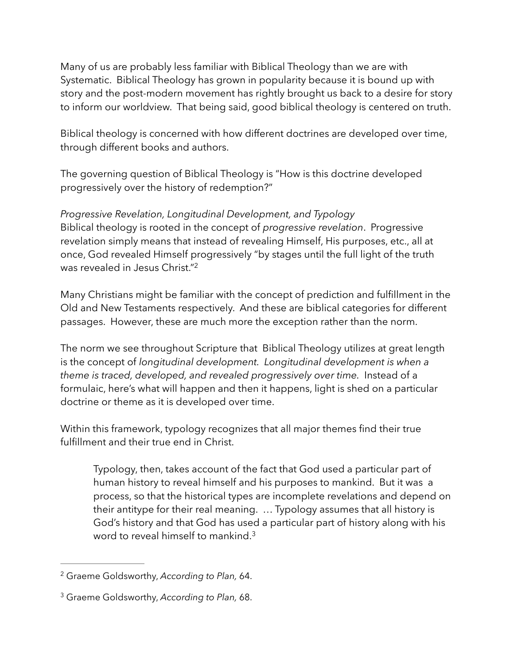Many of us are probably less familiar with Biblical Theology than we are with Systematic. Biblical Theology has grown in popularity because it is bound up with story and the post-modern movement has rightly brought us back to a desire for story to inform our worldview. That being said, good biblical theology is centered on truth.

Biblical theology is concerned with how different doctrines are developed over time, through different books and authors.

The governing question of Biblical Theology is "How is this doctrine developed progressively over the history of redemption?"

*Progressive Revelation, Longitudinal Development, and Typology*  Biblical theology is rooted in the concept of *progressive revelation*. Progressive revelation simply means that instead of revealing Himself, His purposes, etc., all at once, God revealed Himself progressively "by stages until the full light of the truth was revealed in Jesus Christ."2

Many Christians might be familiar with the concept of prediction and fulfillment in the Old and New Testaments respectively. And these are biblical categories for different passages. However, these are much more the exception rather than the norm.

The norm we see throughout Scripture that Biblical Theology utilizes at great length is the concept of *longitudinal development. Longitudinal development is when a*  theme is traced, developed, and revealed progressively over time. Instead of a formulaic, here's what will happen and then it happens, light is shed on a particular doctrine or theme as it is developed over time.

Within this framework, typology recognizes that all major themes find their true fulfillment and their true end in Christ.

Typology, then, takes account of the fact that God used a particular part of human history to reveal himself and his purposes to mankind. But it was a process, so that the historical types are incomplete revelations and depend on their antitype for their real meaning. … Typology assumes that all history is God's history and that God has used a particular part of history along with his word to reveal himself to mankind.<sup>3</sup>

<sup>&</sup>lt;sup>2</sup> Graeme Goldsworthy, *According to Plan*, 64.

<sup>&</sup>lt;sup>3</sup> Graeme Goldsworthy, *According to Plan*, 68.